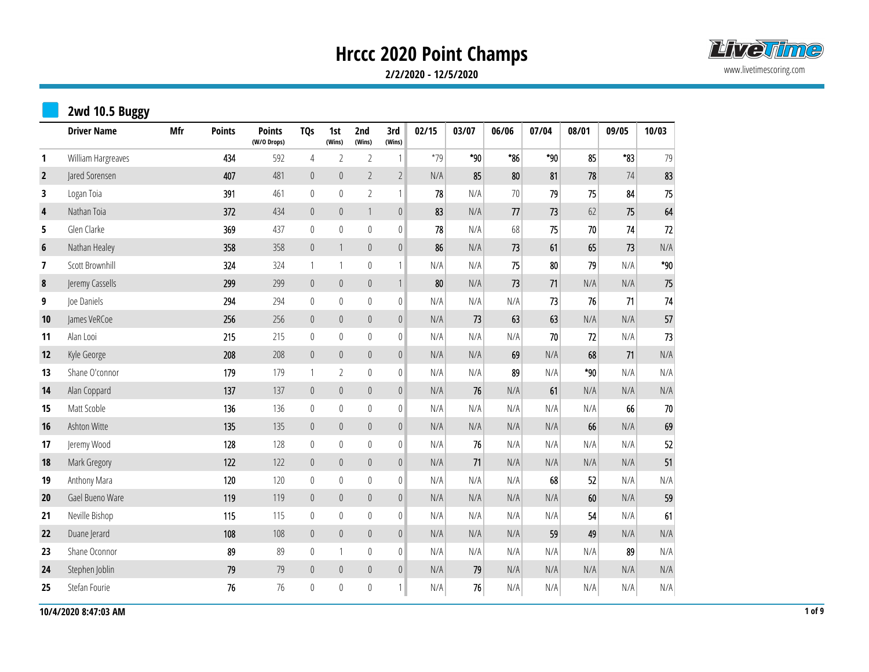

**2/2/2020 - 12/5/2020**

|                  | 2wd 10.5 Buggy     |            |               |                              |                  |                  |                  |                  |       |       |       |       |       |          |        |
|------------------|--------------------|------------|---------------|------------------------------|------------------|------------------|------------------|------------------|-------|-------|-------|-------|-------|----------|--------|
|                  | <b>Driver Name</b> | <b>Mfr</b> | <b>Points</b> | <b>Points</b><br>(W/O Drops) | <b>TQs</b>       | 1st<br>(Wins)    | 2nd<br>(Wins)    | 3rd<br>(Wins)    | 02/15 | 03/07 | 06/06 | 07/04 | 08/01 | 09/05    | 10/03  |
| 1                | William Hargreaves |            | 434           | 592                          | $\overline{4}$   | $\overline{2}$   | $\sqrt{2}$       | $\mathbf{1}$     | $*79$ | *90   | $*86$ | $*90$ | 85    | $*_{83}$ | 79     |
| $\overline{2}$   | Jared Sorensen     |            | 407           | 481                          | $\pmb{0}$        | $\mathbb O$      | $\overline{2}$   | $\overline{2}$   | N/A   | 85    | 80    | 81    | 78    | 74       | 83     |
| 3                | Logan Toia         |            | 391           | 461                          | $\mathbb O$      | $\mathbf{0}$     | $\overline{2}$   | $\mathbf{1}$     | 78    | N/A   | $70$  | 79    | 75    | 84       | 75     |
| $\pmb{4}$        | Nathan Toia        |            | 372           | 434                          | $\mathbb O$      | $\boldsymbol{0}$ | $\mathbf{1}$     | $\mathbb O$      | 83    | N/A   | 77    | 73    | 62    | 75       | 64     |
| 5                | Glen Clarke        |            | 369           | 437                          | $\mathbb O$      | $\boldsymbol{0}$ | $\mathbb{0}$     | $\mathbb{0}$     | 78    | N/A   | 68    | 75    | 70    | 74       | 72     |
| $\boldsymbol{6}$ | Nathan Healey      |            | 358           | 358                          | $\mathbb O$      | $\mathbf{1}$     | $\mathbb O$      | $\mathbb O$      | 86    | N/A   | 73    | 61    | 65    | 73       | N/A    |
| 7                | Scott Brownhill    |            | 324           | 324                          | $\mathbf{1}$     | $\mathbf{1}$     | $\boldsymbol{0}$ | $\mathbf{1}$     | N/A   | N/A   | 75    | 80    | 79    | N/A      | $*90$  |
| $\pmb{8}$        | Jeremy Cassells    |            | 299           | 299                          | $\boldsymbol{0}$ | $\mathbf 0$      | $\mathbb O$      | $\mathbbm{1}$    | 80    | N/A   | 73    | 71    | N/A   | N/A      | 75     |
| 9                | Joe Daniels        |            | 294           | 294                          | $\mathbf 0$      | $\boldsymbol{0}$ | $\boldsymbol{0}$ | $\mathbb O$      | N/A   | N/A   | N/A   | 73    | 76    | 71       | 74     |
| 10               | James VeRCoe       |            | 256           | 256                          | $\mathbb O$      | $\mathbb O$      | $\boldsymbol{0}$ | $\boldsymbol{0}$ | N/A   | 73    | 63    | 63    | N/A   | N/A      | 57     |
| 11               | Alan Looi          |            | 215           | 215                          | $\boldsymbol{0}$ | $\boldsymbol{0}$ | $\mathbb O$      | $\mathbb O$      | N/A   | N/A   | N/A   | 70    | 72    | N/A      | $73\,$ |
| 12               | Kyle George        |            | 208           | 208                          | $\mathbb O$      | $\mathbf 0$      | $\mathbb O$      | $\theta$         | N/A   | N/A   | 69    | N/A   | 68    | 71       | N/A    |
| 13               | Shane O'connor     |            | 179           | 179                          | $\mathbf{1}$     | $\overline{2}$   | $\boldsymbol{0}$ | $\mathbb O$      | N/A   | N/A   | 89    | N/A   | *90   | N/A      | N/A    |
| 14               | Alan Coppard       |            | 137           | 137                          | $\pmb{0}$        | $\mathbb O$      | $\mathbb O$      | $\mathbf 0$      | N/A   | 76    | N/A   | 61    | N/A   | N/A      | N/A    |
| 15               | Matt Scoble        |            | 136           | 136                          | $\boldsymbol{0}$ | $\pmb{0}$        | $\bf{0}$         | $\boldsymbol{0}$ | N/A   | N/A   | N/A   | N/A   | N/A   | 66       | 70     |
| 16               | Ashton Witte       |            | 135           | 135                          | $\boldsymbol{0}$ | $\boldsymbol{0}$ | $\boldsymbol{0}$ | $\mathbf 0$      | N/A   | N/A   | N/A   | N/A   | 66    | N/A      | 69     |
| 17               | Jeremy Wood        |            | 128           | 128                          | $\bf{0}$         | $\pmb{0}$        | $\mathbb O$      | $\mathbb O$      | N/A   | 76    | N/A   | N/A   | N/A   | N/A      | 52     |
| 18               | Mark Gregory       |            | 122           | 122                          | $\boldsymbol{0}$ | $\mathbf 0$      | $\mathbb O$      | $\mathbb O$      | N/A   | 71    | N/A   | N/A   | N/A   | N/A      | 51     |
| 19               | Anthony Mara       |            | 120           | 120                          | $\mathbb O$      | $\boldsymbol{0}$ | $\mathbb O$      | $\mathbb O$      | N/A   | N/A   | N/A   | 68    | 52    | N/A      | N/A    |
| 20               | Gael Bueno Ware    |            | 119           | 119                          | $\mathbf 0$      | $\boldsymbol{0}$ | $\boldsymbol{0}$ | $\mathbf 0$      | N/A   | N/A   | N/A   | N/A   | 60    | N/A      | 59     |
| 21               | Neville Bishop     |            | 115           | 115                          | $\boldsymbol{0}$ | $\pmb{0}$        | $\boldsymbol{0}$ | $\pmb{0}$        | N/A   | N/A   | N/A   | N/A   | 54    | N/A      | 61     |
| 22               | Duane Jerard       |            | 108           | 108                          | $\mathbb O$      | $\theta$         | $\mathbb O$      | $\mathbb O$      | N/A   | N/A   | N/A   | 59    | 49    | N/A      | N/A    |
| 23               | Shane Oconnor      |            | 89            | 89                           | $\bf{0}$         | $\mathbf{1}$     | $\boldsymbol{0}$ | $\mathbb O$      | N/A   | N/A   | N/A   | N/A   | N/A   | 89       | N/A    |
| 24               | Stephen Joblin     |            | 79            | 79                           | $\pmb{0}$        | $\mathbb O$      | $\mathbb O$      | $\boldsymbol{0}$ | N/A   | 79    | N/A   | N/A   | N/A   | N/A      | N/A    |
| 25               | Stefan Fourie      |            | 76            | 76                           | $\boldsymbol{0}$ | $\boldsymbol{0}$ | $\boldsymbol{0}$ | $\mathbf{1}$     | N/A   | 76    | N/A   | N/A   | N/A   | N/A      | N/A    |

 $10/4/20208:47:03$  AM 1 of 9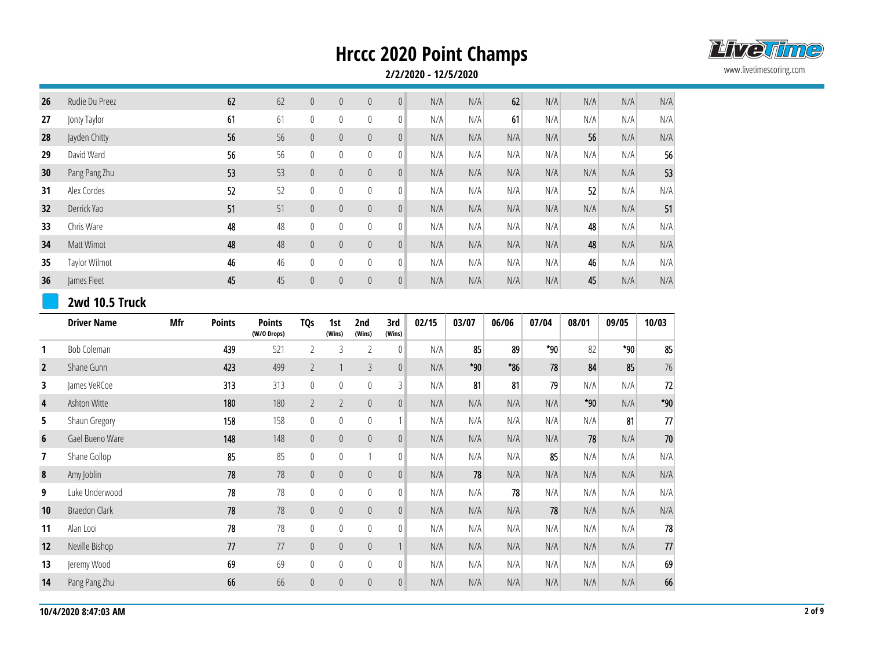

| 26             | Rudie Du Preez       |     | 62            | 62            | $\boldsymbol{0}$ | $\mathbb O$    | $\mathbb{0}$     | $\boldsymbol{0}$ | N/A   | N/A   | 62    | N/A   | N/A   | N/A   | N/A    |
|----------------|----------------------|-----|---------------|---------------|------------------|----------------|------------------|------------------|-------|-------|-------|-------|-------|-------|--------|
| 27             | Jonty Taylor         |     | 61            | 61            | $\mathbf 0$      | $\pmb{0}$      | $\boldsymbol{0}$ | $\boldsymbol{0}$ | N/A   | N/A   | 61    | N/A   | N/A   | N/A   | N/A    |
| 28             | Jayden Chitty        |     | 56            | 56            | $\boldsymbol{0}$ | $\mathbf 0$    | $\mathbb O$      | $\boldsymbol{0}$ | N/A   | N/A   | N/A   | N/A   | 56    | N/A   | N/A    |
| 29             | David Ward           |     | 56            | 56            | $\mathbf 0$      | $\mathbb O$    | $\boldsymbol{0}$ | $\mathbb O$      | N/A   | N/A   | N/A   | N/A   | N/A   | N/A   | 56     |
| 30             | Pang Pang Zhu        |     | 53            | 53            | $\boldsymbol{0}$ | $\mathbb O$    | $\mathbb O$      | $\boldsymbol{0}$ | N/A   | N/A   | N/A   | N/A   | N/A   | N/A   | 53     |
| 31             | Alex Cordes          |     | 52            | 52            | $\mathbf 0$      | $\mathbf{0}$   | $\boldsymbol{0}$ | $\boldsymbol{0}$ | N/A   | N/A   | N/A   | N/A   | 52    | N/A   | N/A    |
| 32             | Derrick Yao          |     | 51            | 51            | $\boldsymbol{0}$ | $\mathbb O$    | $\mathbb O$      | $\mathbb O$      | N/A   | N/A   | N/A   | N/A   | N/A   | N/A   | 51     |
| 33             | Chris Ware           |     | 48            | 48            | $\boldsymbol{0}$ | $\pmb{0}$      | $\boldsymbol{0}$ | $\boldsymbol{0}$ | N/A   | N/A   | N/A   | N/A   | 48    | N/A   | N/A    |
| 34             | Matt Wimot           |     | 48            | 48            | $\boldsymbol{0}$ | $\mathbf 0$    | $\mathbb O$      | $\boldsymbol{0}$ | N/A   | N/A   | N/A   | N/A   | 48    | N/A   | N/A    |
| 35             | Taylor Wilmot        |     | 46            | 46            | $\bf{0}$         | $\mathbf{0}$   | $\bf 0$          | $\boldsymbol{0}$ | N/A   | N/A   | N/A   | N/A   | 46    | N/A   | N/A    |
| 36             | James Fleet          |     | 45            | 45            | $\pmb{0}$        | $\mathbb O$    | $\mathbf 0$      | $\mathbf 0$      | N/A   | N/A   | N/A   | N/A   | 45    | N/A   | N/A    |
|                | 2wd 10.5 Truck       |     |               |               |                  |                |                  |                  |       |       |       |       |       |       |        |
|                | <b>Driver Name</b>   | Mfr | <b>Points</b> | <b>Points</b> | <b>TQs</b>       | 1st            | 2nd              | 3rd              | 02/15 | 03/07 | 06/06 | 07/04 | 08/01 | 09/05 | 10/03  |
|                |                      |     |               | (W/O Drops)   |                  | (Wins)         | (Wins)           | (Wins)           |       |       |       |       |       |       |        |
| 1              | <b>Bob Coleman</b>   |     | 439           | 521           | $\overline{2}$   | $\overline{3}$ | $\overline{2}$   | $\boldsymbol{0}$ | N/A   | 85    | 89    | *90   | 82    | *90   | 85     |
| $\overline{2}$ | Shane Gunn           |     | 423           | 499           | $\overline{2}$   | $\mathbf{1}$   | $\mathfrak{Z}$   | $\mathbf 0$      | N/A   | *90   | *86   | 78    | 84    | 85    | 76     |
| 3              | James VeRCoe         |     | 313           | 313           | $\boldsymbol{0}$ | $\mathbf{0}$   | $\boldsymbol{0}$ | $\mathfrak{Z}$   | N/A   | 81    | 81    | 79    | N/A   | N/A   | $72\,$ |
| 4              | Ashton Witte         |     | 180           | 180           | $\overline{2}$   | $\overline{2}$ | $\pmb{0}$        | $\boldsymbol{0}$ | N/A   | N/A   | N/A   | N/A   | $*90$ | N/A   | $*90$  |
| 5              | Shaun Gregory        |     | 158           | 158           | $\mathbb O$      | $\mathbf{0}$   | 0                | $\mathbf{1}$     | N/A   | N/A   | N/A   | N/A   | N/A   | 81    | $77\,$ |
| 6              | Gael Bueno Ware      |     | 148           | 148           | $\boldsymbol{0}$ | $\mathbb O$    | $\mathbb{0}$     | $\mathbb O$      | N/A   | N/A   | N/A   | N/A   | 78    | N/A   | $70\,$ |
| 7              | Shane Gollop         |     | 85            | 85            | $\boldsymbol{0}$ | 0              | 1                | $\mathbf 0$      | N/A   | N/A   | N/A   | 85    | N/A   | N/A   | N/A    |
| $\pmb{8}$      | Amy Joblin           |     | 78            | 78            | $\boldsymbol{0}$ | $\theta$       | $\mathbb O$      | $\boldsymbol{0}$ | N/A   | 78    | N/A   | N/A   | N/A   | N/A   | N/A    |
| 9              | Luke Underwood       |     | 78            | 78            | $\boldsymbol{0}$ | $\mathbb O$    | $\mathbf 0$      | $\bf{0}$         | N/A   | N/A   | 78    | N/A   | N/A   | N/A   | N/A    |
| 10             | <b>Braedon Clark</b> |     | 78            | 78            | $\pmb{0}$        | $\theta$       | $\pmb{0}$        | $\pmb{0}$        | N/A   | N/A   | N/A   | 78    | N/A   | N/A   | N/A    |
| 11             | Alan Looi            |     | 78            | 78            | $\mathbb O$      | $\mathbf{0}$   | $\mathbf 0$      | $\mathbb O$      | N/A   | N/A   | N/A   | N/A   | N/A   | N/A   | 78     |
| 12             | Neville Bishop       |     | 77            | 77            | $\boldsymbol{0}$ | $\mathbb O$    | $\mathbb{0}$     | $\mathbf{1}$     | N/A   | N/A   | N/A   | N/A   | N/A   | N/A   | $77\,$ |
| 13             | Jeremy Wood          |     | 69            | 69            | $\mathbf 0$      | 0              | $\bf 0$          | $\mathbf 0$      | N/A   | N/A   | N/A   | N/A   | N/A   | N/A   | 69     |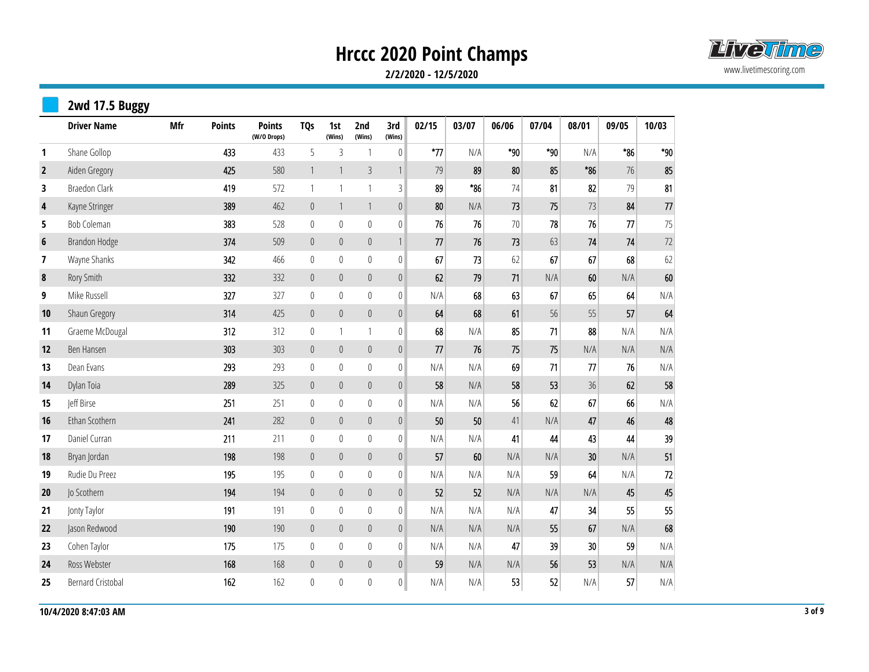

|                | 2wd 17.5 Buggy           |            |               |                              |                  |                  |                  |                  |       |       |       |       |       |       |        |
|----------------|--------------------------|------------|---------------|------------------------------|------------------|------------------|------------------|------------------|-------|-------|-------|-------|-------|-------|--------|
|                | <b>Driver Name</b>       | <b>Mfr</b> | <b>Points</b> | <b>Points</b><br>(W/O Drops) | <b>TQs</b>       | 1st<br>(Wins)    | 2nd<br>(Wins)    | 3rd<br>(Wins)    | 02/15 | 03/07 | 06/06 | 07/04 | 08/01 | 09/05 | 10/03  |
| $\mathbf{1}$   | Shane Gollop             |            | 433           | 433                          | 5                | $\mathfrak{Z}$   | $\overline{1}$   | $\pmb{0}$        | $*77$ | N/A   | $*90$ | $*90$ | N/A   | $*86$ | $*90$  |
| $\overline{2}$ | Aiden Gregory            |            | 425           | 580                          | $\mathbf{1}$     | $\mathbf{1}$     | $\mathfrak{Z}$   | $\mathbf{1}$     | 79    | 89    | 80    | 85    | $*86$ | 76    | 85     |
| 3              | <b>Braedon Clark</b>     |            | 419           | 572                          | 1                | $\mathbf{1}$     | $\mathbf{1}$     | $\mathsf 3$      | 89    | $*86$ | 74    | 81    | 82    | 79    | 81     |
| $\pmb{4}$      | Kayne Stringer           |            | 389           | 462                          | $\pmb{0}$        | $\mathbf{1}$     | $\mathbf{1}$     | $\mathbf 0$      | 80    | N/A   | 73    | 75    | 73    | 84    | $77\,$ |
| 5              | Bob Coleman              |            | 383           | 528                          | $\boldsymbol{0}$ | $\pmb{0}$        | $\boldsymbol{0}$ | $\boldsymbol{0}$ | 76    | 76    | 70    | 78    | 76    | 77    | 75     |
| 6              | Brandon Hodge            |            | 374           | 509                          | $\pmb{0}$        | $\mathbb O$      | $\mathbb O$      | $\mathbf{1}$     | 77    | 76    | 73    | 63    | 74    | 74    | $72$   |
| 7              | Wayne Shanks             |            | 342           | 466                          | $\bf{0}$         | $\bf{0}$         | $\mathbf 0$      | $\boldsymbol{0}$ | 67    | 73    | 62    | 67    | 67    | 68    | 62     |
| 8              | Rory Smith               |            | 332           | 332                          | $\boldsymbol{0}$ | $\theta$         | $\mathbb O$      | $\boldsymbol{0}$ | 62    | 79    | 71    | N/A   | 60    | N/A   | 60     |
| 9              | Mike Russell             |            | 327           | 327                          | $\bf{0}$         | $\pmb{0}$        | $\boldsymbol{0}$ | $\boldsymbol{0}$ | N/A   | 68    | 63    | 67    | 65    | 64    | N/A    |
| 10             | Shaun Gregory            |            | 314           | 425                          | $\pmb{0}$        | $\mathbb O$      | $\mathbb O$      | $\boldsymbol{0}$ | 64    | 68    | 61    | 56    | 55    | 57    | 64     |
| 11             | Graeme McDougal          |            | 312           | 312                          | 0                | 1                | 1                | $\boldsymbol{0}$ | 68    | N/A   | 85    | 71    | 88    | N/A   | N/A    |
| 12             | Ben Hansen               |            | 303           | 303                          | $\pmb{0}$        | $\theta$         | $\mathbb O$      | $\boldsymbol{0}$ | 77    | 76    | 75    | 75    | N/A   | N/A   | N/A    |
| 13             | Dean Evans               |            | 293           | 293                          | $\mathbb{0}$     | $\boldsymbol{0}$ | $\mathbb O$      | $\boldsymbol{0}$ | N/A   | N/A   | 69    | 71    | 77    | 76    | N/A    |
| 14             | Dylan Toia               |            | 289           | 325                          | $\boldsymbol{0}$ | $\mathbb O$      | $\mathbb O$      | $\mathbf 0$      | 58    | N/A   | 58    | 53    | 36    | 62    | 58     |
| 15             | Jeff Birse               |            | 251           | 251                          | $\boldsymbol{0}$ | $\boldsymbol{0}$ | $\boldsymbol{0}$ | $\boldsymbol{0}$ | N/A   | N/A   | 56    | 62    | 67    | 66    | N/A    |
| 16             | Ethan Scothern           |            | 241           | 282                          | $\pmb{0}$        | $\mathbb O$      | $\mathbb O$      | $\mathbf 0$      | 50    | 50    | 41    | N/A   | 47    | 46    | 48     |
| 17             | Daniel Curran            |            | 211           | 211                          | $\mathbf 0$      | $\pmb{0}$        | $\mathbf 0$      | $\boldsymbol{0}$ | N/A   | N/A   | 41    | 44    | 43    | 44    | 39     |
| 18             | Bryan Jordan             |            | 198           | 198                          | $\pmb{0}$        | $\pmb{0}$        | $\boldsymbol{0}$ | $\mathbf 0$      | 57    | 60    | N/A   | N/A   | 30    | N/A   | 51     |
| 19             | Rudie Du Preez           |            | 195           | 195                          | $\boldsymbol{0}$ | $\pmb{0}$        | $\boldsymbol{0}$ | $\boldsymbol{0}$ | N/A   | N/A   | N/A   | 59    | 64    | N/A   | $72\,$ |
| 20             | Jo Scothern              |            | 194           | 194                          | $\boldsymbol{0}$ | $\mathbb O$      | $\mathbf 0$      | $\mathbf 0$      | 52    | 52    | N/A   | N/A   | N/A   | 45    | 45     |
| 21             | Jonty Taylor             |            | 191           | 191                          | $\boldsymbol{0}$ | $\pmb{0}$        | $\mathbf 0$      | $\boldsymbol{0}$ | N/A   | N/A   | N/A   | 47    | 34    | 55    | 55     |
| 22             | Jason Redwood            |            | 190           | 190                          | $\mathbb O$      | $\theta$         | $\mathbb O$      | $\boldsymbol{0}$ | N/A   | N/A   | N/A   | 55    | 67    | N/A   | 68     |
| 23             | Cohen Taylor             |            | 175           | 175                          | $\mathbf 0$      | $\pmb{0}$        | $\mathbf 0$      | $\boldsymbol{0}$ | N/A   | N/A   | 47    | 39    | 30    | 59    | N/A    |
| 24             | Ross Webster             |            | 168           | 168                          | $\pmb{0}$        | $\mathbf 0$      | $\mathbb O$      | $\boldsymbol{0}$ | 59    | N/A   | N/A   | 56    | 53    | N/A   | N/A    |
| 25             | <b>Bernard Cristobal</b> |            | 162           | 162                          | $\mathbf 0$      | $\boldsymbol{0}$ | $\boldsymbol{0}$ | $\boldsymbol{0}$ | N/A   | N/A   | 53    | 52    | N/A   | 57    | N/A    |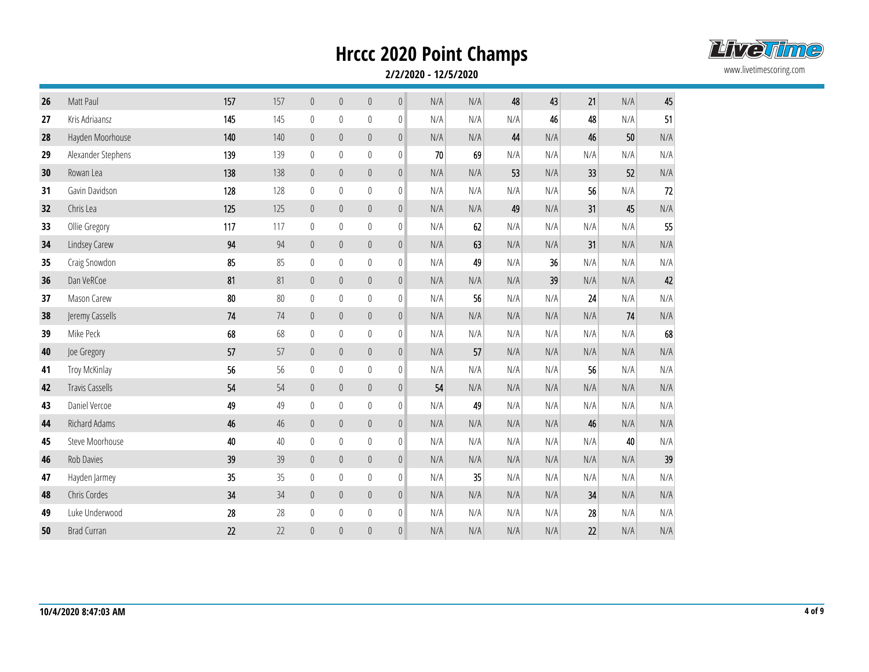

| 26 | Matt Paul              | 157 | 157 | $\mathbb O$      | $\boldsymbol{0}$ | $\mathbb O$      | $\mathbb O$  | N/A | N/A | 48  | 43  | 21  | N/A | 45     |
|----|------------------------|-----|-----|------------------|------------------|------------------|--------------|-----|-----|-----|-----|-----|-----|--------|
| 27 | Kris Adriaansz         | 145 | 145 | $\pmb{0}$        | 0                | $\mathbf 0$      | 0            | N/A | N/A | N/A | 46  | 48  | N/A | 51     |
| 28 | Hayden Moorhouse       | 140 | 140 | $\theta$         | $\boldsymbol{0}$ | $\mathbb O$      | $\mathbf 0$  | N/A | N/A | 44  | N/A | 46  | 50  | N/A    |
| 29 | Alexander Stephens     | 139 | 139 | $\mathbb O$      | $\boldsymbol{0}$ | $\boldsymbol{0}$ | $\pmb{0}$    | 70  | 69  | N/A | N/A | N/A | N/A | N/A    |
| 30 | Rowan Lea              | 138 | 138 | $\mathbb O$      | $\pmb{0}$        | $\mathbb O$      | $\pmb{0}$    | N/A | N/A | 53  | N/A | 33  | 52  | N/A    |
| 31 | Gavin Davidson         | 128 | 128 | $\mathbb O$      | $\mathbf{0}$     | $\mathbb{0}$     | $\mathbf{0}$ | N/A | N/A | N/A | N/A | 56  | N/A | $72\,$ |
| 32 | Chris Lea              | 125 | 125 | $\mathbb O$      | $\boldsymbol{0}$ | $\mathbb O$      | $\mathbb O$  | N/A | N/A | 49  | N/A | 31  | 45  | N/A    |
| 33 | Ollie Gregory          | 117 | 117 | $\mathbb O$      | $\mathbf{0}$     | $\mathbf 0$      | $\pmb{0}$    | N/A | 62  | N/A | N/A | N/A | N/A | 55     |
| 34 | Lindsey Carew          | 94  | 94  | $\mathbb O$      | $\theta$         | $\mathbb O$      | $\theta$     | N/A | 63  | N/A | N/A | 31  | N/A | N/A    |
| 35 | Craig Snowdon          | 85  | 85  | $\mathbb O$      | $\boldsymbol{0}$ | $\boldsymbol{0}$ | $\pmb{0}$    | N/A | 49  | N/A | 36  | N/A | N/A | N/A    |
| 36 | Dan VeRCoe             | 81  | 81  | $\mathbb O$      | $\theta$         | $\boldsymbol{0}$ | $\mathbb O$  | N/A | N/A | N/A | 39  | N/A | N/A | 42     |
| 37 | Mason Carew            | 80  | 80  | $\mathbb O$      | $\mathbf{0}$     | $\mathbb{0}$     | $\mathbf{0}$ | N/A | 56  | N/A | N/A | 24  | N/A | N/A    |
| 38 | Jeremy Cassells        | 74  | 74  | $\mathbb O$      | $\boldsymbol{0}$ | $\mathbb O$      | $\mathbb O$  | N/A | N/A | N/A | N/A | N/A | 74  | N/A    |
| 39 | Mike Peck              | 68  | 68  | $\boldsymbol{0}$ | $\mathbf{0}$     | $\mathbf 0$      | $\mathbf{0}$ | N/A | N/A | N/A | N/A | N/A | N/A | 68     |
| 40 | Joe Gregory            | 57  | 57  | $\boldsymbol{0}$ | $\theta$         | $\mathbb O$      | $\mathbb O$  | N/A | 57  | N/A | N/A | N/A | N/A | N/A    |
| 41 | Troy McKinlay          | 56  | 56  | $\boldsymbol{0}$ | $\mathbf{0}$     | $\mathbb{0}$     | $\mathbf{0}$ | N/A | N/A | N/A | N/A | 56  | N/A | N/A    |
| 42 | <b>Travis Cassells</b> | 54  | 54  | $\mathbb O$      | $\pmb{0}$        | $\mathbf 0$      | $\mathbb O$  | 54  | N/A | N/A | N/A | N/A | N/A | N/A    |
| 43 | Daniel Vercoe          | 49  | 49  | $\boldsymbol{0}$ | $\mathbf{0}$     | $\mathbb{0}$     | $\mathbf 0$  | N/A | 49  | N/A | N/A | N/A | N/A | N/A    |
| 44 | Richard Adams          | 46  | 46  | $\mathbb O$      | $\boldsymbol{0}$ | $\mathbb O$      | $\mathbb O$  | N/A | N/A | N/A | N/A | 46  | N/A | N/A    |
| 45 | Steve Moorhouse        | 40  | 40  | $\boldsymbol{0}$ | $\boldsymbol{0}$ | $\bf 0$          | $\mathbb{0}$ | N/A | N/A | N/A | N/A | N/A | 40  | N/A    |
| 46 | Rob Davies             | 39  | 39  | $\mathbb O$      | $\boldsymbol{0}$ | $\mathbb O$      | $\mathbb O$  | N/A | N/A | N/A | N/A | N/A | N/A | 39     |
| 47 | Hayden Jarmey          | 35  | 35  | $\boldsymbol{0}$ | $\mathbf{0}$     | $\mathbb{0}$     | $\mathbf{0}$ | N/A | 35  | N/A | N/A | N/A | N/A | N/A    |
| 48 | Chris Cordes           | 34  | 34  | $\mathbb O$      | $\boldsymbol{0}$ | $\mathbb O$      | $\mathbb{0}$ | N/A | N/A | N/A | N/A | 34  | N/A | N/A    |
| 49 | Luke Underwood         | 28  | 28  | $\boldsymbol{0}$ | $\boldsymbol{0}$ | $\bf 0$          | $\bf 0$      | N/A | N/A | N/A | N/A | 28  | N/A | N/A    |
| 50 | <b>Brad Curran</b>     | 22  | 22  | $\theta$         | $\Omega$         | $\overline{0}$   | $\mathbf{0}$ | N/A | N/A | N/A | N/A | 22  | N/A | N/A    |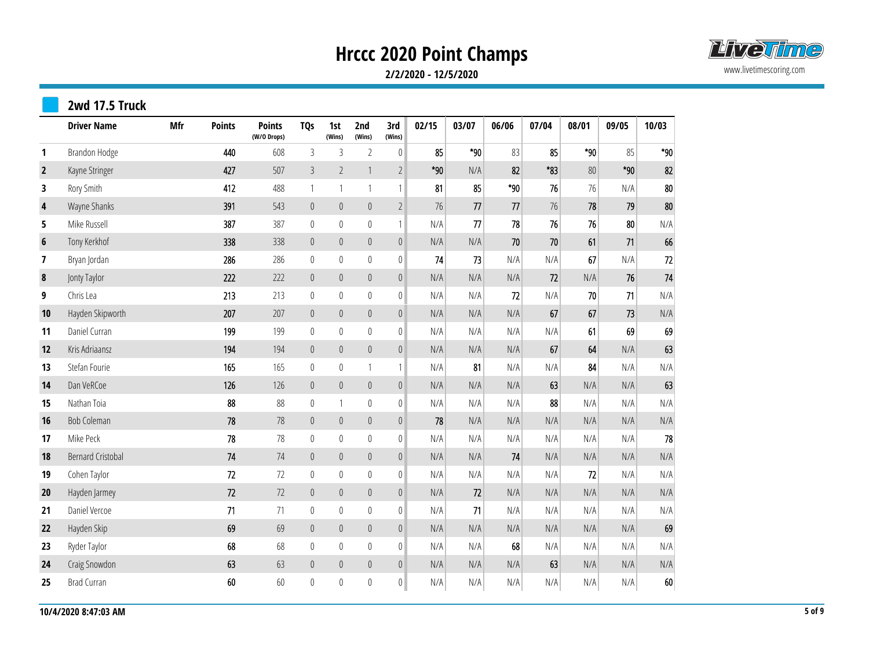

|                         | 2wd 17.5 Truck           |            |               |                              |                  |                  |                  |                  |       |       |       |       |       |       |        |
|-------------------------|--------------------------|------------|---------------|------------------------------|------------------|------------------|------------------|------------------|-------|-------|-------|-------|-------|-------|--------|
|                         | <b>Driver Name</b>       | <b>Mfr</b> | <b>Points</b> | <b>Points</b><br>(W/O Drops) | <b>TQs</b>       | 1st<br>(Wins)    | 2nd<br>(Wins)    | 3rd<br>(Wins)    | 02/15 | 03/07 | 06/06 | 07/04 | 08/01 | 09/05 | 10/03  |
| 1                       | Brandon Hodge            |            | 440           | 608                          | $\mathfrak{Z}$   | $\mathfrak{Z}$   | $\overline{2}$   | $\mathbb O$      | 85    | $*90$ | 83    | 85    | $*90$ | 85    | $*90$  |
| $\overline{2}$          | Kayne Stringer           |            | 427           | 507                          | 3                | $\overline{2}$   | $\mathbf{1}$     | $\overline{2}$   | $*90$ | N/A   | 82    | *83   | 80    | $*90$ | 82     |
| 3                       | Rory Smith               |            | 412           | 488                          | 1                | 1                | $\mathbf{1}$     | $\mathbf{1}$     | 81    | 85    | $*90$ | 76    | 76    | N/A   | $80\,$ |
| $\overline{\mathbf{4}}$ | Wayne Shanks             |            | 391           | 543                          | $\boldsymbol{0}$ | $\boldsymbol{0}$ | $\mathbb O$      | $\sqrt{2}$       | 76    | 77    | 77    | 76    | 78    | 79    | 80     |
| 5                       | Mike Russell             |            | 387           | 387                          | $\boldsymbol{0}$ | $\mathbf 0$      | $\boldsymbol{0}$ | $\mathbf{1}$     | N/A   | 77    | 78    | 76    | 76    | 80    | N/A    |
| 6                       | Tony Kerkhof             |            | 338           | 338                          | $\boldsymbol{0}$ | $\boldsymbol{0}$ | $\mathbb O$      | $\mathbf 0$      | N/A   | N/A   | 70    | 70    | 61    | 71    | 66     |
| 7                       | Bryan Jordan             |            | 286           | 286                          | $\boldsymbol{0}$ | $\mathbf 0$      | $\mathbb O$      | $\pmb{0}$        | 74    | 73    | N/A   | N/A   | 67    | N/A   | 72     |
| 8                       | Jonty Taylor             |            | 222           | 222                          | $\mathbb O$      | $\boldsymbol{0}$ | $\boldsymbol{0}$ | $\boldsymbol{0}$ | N/A   | N/A   | N/A   | 72    | N/A   | 76    | 74     |
| 9                       | Chris Lea                |            | 213           | 213                          | $\boldsymbol{0}$ | $\mathbb O$      | $\mathbb O$      | $\mathbf 0$      | N/A   | N/A   | 72    | N/A   | 70    | 71    | N/A    |
| 10                      | Hayden Skipworth         |            | 207           | 207                          | $\mathbb O$      | $\boldsymbol{0}$ | $\mathbf 0$      | $\boldsymbol{0}$ | N/A   | N/A   | N/A   | 67    | 67    | 73    | N/A    |
| 11                      | Daniel Curran            |            | 199           | 199                          | $\bf{0}$         | $\mathbf 0$      | $\boldsymbol{0}$ | $\mathbf 0$      | N/A   | N/A   | N/A   | N/A   | 61    | 69    | 69     |
| 12                      | Kris Adriaansz           |            | 194           | 194                          | $\mathbb O$      | $\boldsymbol{0}$ | $\mathbf 0$      | $\boldsymbol{0}$ | N/A   | N/A   | N/A   | 67    | 64    | N/A   | 63     |
| 13                      | Stefan Fourie            |            | 165           | 165                          | $\boldsymbol{0}$ | $\bf{0}$         | $\mathbf{1}$     | $\mathbf{1}$     | N/A   | 81    | N/A   | N/A   | 84    | N/A   | N/A    |
| 14                      | Dan VeRCoe               |            | 126           | 126                          | $\boldsymbol{0}$ | $\boldsymbol{0}$ | $\boldsymbol{0}$ | $\boldsymbol{0}$ | N/A   | N/A   | N/A   | 63    | N/A   | N/A   | 63     |
| 15                      | Nathan Toia              |            | 88            | 88                           | $\boldsymbol{0}$ | 1                | $\mathbb{0}$     | $\boldsymbol{0}$ | N/A   | N/A   | N/A   | 88    | N/A   | N/A   | N/A    |
| 16                      | <b>Bob Coleman</b>       |            | 78            | 78                           | $\mathbb O$      | $\pmb{0}$        | $\mathbb O$      | $\pmb{0}$        | 78    | N/A   | N/A   | N/A   | N/A   | N/A   | N/A    |
| 17                      | Mike Peck                |            | 78            | 78                           | $\boldsymbol{0}$ | $\mathbb O$      | $\boldsymbol{0}$ | $\boldsymbol{0}$ | N/A   | N/A   | N/A   | N/A   | N/A   | N/A   | 78     |
| 18                      | <b>Bernard Cristobal</b> |            | 74            | 74                           | $\boldsymbol{0}$ | $\boldsymbol{0}$ | $\mathbb O$      | $\boldsymbol{0}$ | N/A   | N/A   | 74    | N/A   | N/A   | N/A   | N/A    |
| 19                      | Cohen Taylor             |            | 72            | 72                           | $\boldsymbol{0}$ | $\boldsymbol{0}$ | $\boldsymbol{0}$ | $\mathbf 0$      | N/A   | N/A   | N/A   | N/A   | 72    | N/A   | N/A    |
| 20                      | Hayden Jarmey            |            | 72            | 72                           | $\mathbf{0}$     | $\overline{0}$   | $\mathbb O$      | $\pmb{0}$        | N/A   | 72    | N/A   | N/A   | N/A   | N/A   | N/A    |
| 21                      | Daniel Vercoe            |            | 71            | 71                           | $\boldsymbol{0}$ | $\mathbb O$      | $\boldsymbol{0}$ | $\boldsymbol{0}$ | N/A   | 71    | N/A   | N/A   | N/A   | N/A   | N/A    |
| 22                      | Hayden Skip              |            | 69            | 69                           | $\boldsymbol{0}$ | $\boldsymbol{0}$ | $\mathbb O$      | $\mathbb O$      | N/A   | N/A   | N/A   | N/A   | N/A   | N/A   | 69     |
| 23                      | Ryder Taylor             |            | 68            | 68                           | $\boldsymbol{0}$ | $\mathbb O$      | $\mathbf 0$      | $\bf 0$          | N/A   | N/A   | 68    | N/A   | N/A   | N/A   | N/A    |
| 24                      | Craig Snowdon            |            | 63            | 63                           | $\boldsymbol{0}$ | $\mathbf 0$      | $\mathbb O$      | $\mathbb O$      | N/A   | N/A   | N/A   | 63    | N/A   | N/A   | N/A    |
| 25                      | <b>Brad Curran</b>       |            | 60            | 60                           | $\boldsymbol{0}$ | $\bf{0}$         | $\pmb{0}$        | $\boldsymbol{0}$ | N/A   | N/A   | N/A   | N/A   | N/A   | N/A   | 60     |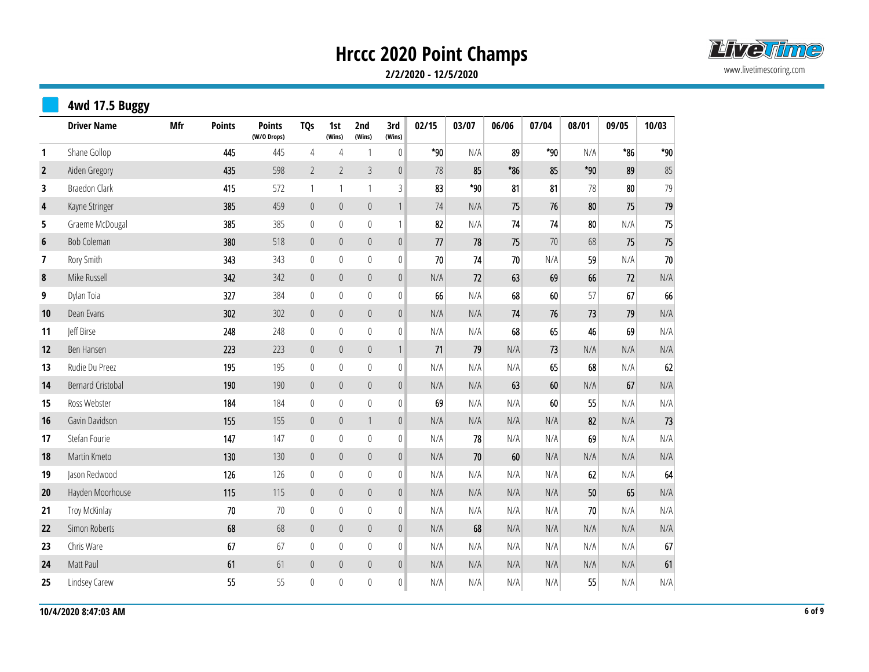

|                         | 4wd 17.5 Buggy           |     |               |                              |                  |                  |                  |                           |       |       |       |       |       |       |       |
|-------------------------|--------------------------|-----|---------------|------------------------------|------------------|------------------|------------------|---------------------------|-------|-------|-------|-------|-------|-------|-------|
|                         | <b>Driver Name</b>       | Mfr | <b>Points</b> | <b>Points</b><br>(W/O Drops) | <b>TQs</b>       | 1st<br>(Wins)    | 2nd<br>(Wins)    | 3rd<br>(Wins)             | 02/15 | 03/07 | 06/06 | 07/04 | 08/01 | 09/05 | 10/03 |
| 1                       | Shane Gollop             |     | 445           | 445                          | $\sqrt{4}$       | $\sqrt{4}$       | $\mathbf 1$      | $\mathbb O$               | $*90$ | N/A   | 89    | $*90$ | N/A   | $*86$ | $*90$ |
| $\overline{2}$          | Aiden Gregory            |     | 435           | 598                          | $\overline{2}$   | $\overline{2}$   | $\mathfrak{Z}$   | $\boldsymbol{0}$          | 78    | 85    | $*86$ | 85    | $*90$ | 89    | 85    |
| 3                       | <b>Braedon Clark</b>     |     | 415           | 572                          | $\mathbf{1}$     | 1                | $\mathbf{1}$     | $\sqrt{3}$                | 83    | $*90$ | 81    | 81    | 78    | 80    | 79    |
| $\overline{\mathbf{4}}$ | Kayne Stringer           |     | 385           | 459                          | $\pmb{0}$        | $\pmb{0}$        | $\boldsymbol{0}$ | $\ensuremath{\mathsf{1}}$ | 74    | N/A   | 75    | 76    | 80    | 75    | 79    |
| 5                       | Graeme McDougal          |     | 385           | 385                          | $\boldsymbol{0}$ | $\bf 0$          | $\boldsymbol{0}$ | $\mathbf{1}$              | 82    | N/A   | 74    | 74    | 80    | N/A   | 75    |
| $6\phantom{1}$          | <b>Bob Coleman</b>       |     | 380           | 518                          | $\pmb{0}$        | $\pmb{0}$        | $\boldsymbol{0}$ | $\mathbb O$               | 77    | 78    | 75    | 70    | 68    | 75    | 75    |
| 7                       | Rory Smith               |     | 343           | 343                          | 0                | $\mathbf 0$      | $\boldsymbol{0}$ | $\pmb{0}$                 | 70    | 74    | 70    | N/A   | 59    | N/A   | 70    |
| 8                       | Mike Russell             |     | 342           | 342                          | $\boldsymbol{0}$ | $\pmb{0}$        | $\mathbf 0$      | $\mathbf 0$               | N/A   | 72    | 63    | 69    | 66    | 72    | N/A   |
| 9                       | Dylan Toia               |     | 327           | 384                          | $\bf{0}$         | $\mathbf 0$      | $\boldsymbol{0}$ | $\pmb{0}$                 | 66    | N/A   | 68    | 60    | 57    | 67    | 66    |
| 10                      | Dean Evans               |     | 302           | 302                          | $\pmb{0}$        | $\pmb{0}$        | $\mathbf 0$      | $\mathbb O$               | N/A   | N/A   | 74    | 76    | 73    | 79    | N/A   |
| 11                      | Jeff Birse               |     | 248           | 248                          | $\bf{0}$         | 0                | $\boldsymbol{0}$ | $\mathbb{0}$              | N/A   | N/A   | 68    | 65    | 46    | 69    | N/A   |
| 12                      | Ben Hansen               |     | 223           | 223                          | $\mathbb O$      | $\mathbb O$      | $\mathbf 0$      | $\ensuremath{\mathsf{1}}$ | 71    | 79    | N/A   | 73    | N/A   | N/A   | N/A   |
| 13                      | Rudie Du Preez           |     | 195           | 195                          | $\mathbb O$      | $\bf{0}$         | $\boldsymbol{0}$ | $\mathbb O$               | N/A   | N/A   | N/A   | 65    | 68    | N/A   | 62    |
| 14                      | <b>Bernard Cristobal</b> |     | 190           | 190                          | $\mathbf 0$      | $\mathbb O$      | $\boldsymbol{0}$ | $\boldsymbol{0}$          | N/A   | N/A   | 63    | 60    | N/A   | 67    | N/A   |
| 15                      | Ross Webster             |     | 184           | 184                          | $\bf{0}$         | $\bf{0}$         | $\boldsymbol{0}$ | $\pmb{0}$                 | 69    | N/A   | N/A   | 60    | 55    | N/A   | N/A   |
| 16                      | Gavin Davidson           |     | 155           | 155                          | $\mathbb O$      | $\mathbf 0$      | $\mathbf{1}$     | $\boldsymbol{0}$          | N/A   | N/A   | N/A   | N/A   | 82    | N/A   | 73    |
| 17                      | Stefan Fourie            |     | 147           | 147                          | $\mathbb O$      | $\mathbb{0}$     | $\boldsymbol{0}$ | $\pmb{0}$                 | N/A   | 78    | N/A   | N/A   | 69    | N/A   | N/A   |
| 18                      | Martin Kmeto             |     | 130           | 130                          | $\boldsymbol{0}$ | $\pmb{0}$        | $\mathbf 0$      | $\mathbf 0$               | N/A   | 70    | 60    | N/A   | N/A   | N/A   | N/A   |
| 19                      | Jason Redwood            |     | 126           | 126                          | $\bf{0}$         | $\bf{0}$         | $\boldsymbol{0}$ | $\pmb{0}$                 | N/A   | N/A   | N/A   | N/A   | 62    | N/A   | 64    |
| 20                      | Hayden Moorhouse         |     | 115           | 115                          | $\mathbb O$      | $\mathbf 0$      | $\mathbf 0$      | $\boldsymbol{0}$          | N/A   | N/A   | N/A   | N/A   | 50    | 65    | N/A   |
| 21                      | Troy McKinlay            |     | $70$          | $70$                         | $\bf{0}$         | $\bf{0}$         | $\boldsymbol{0}$ | $\pmb{0}$                 | N/A   | N/A   | N/A   | N/A   | 70    | N/A   | N/A   |
| 22                      | Simon Roberts            |     | 68            | 68                           | $\mathbf 0$      | $\mathbf 0$      | $\boldsymbol{0}$ | $\boldsymbol{0}$          | N/A   | 68    | N/A   | N/A   | N/A   | N/A   | N/A   |
| 23                      | Chris Ware               |     | 67            | 67                           | $\pmb{0}$        | $\boldsymbol{0}$ | $\mathbf 0$      | $\boldsymbol{0}$          | N/A   | N/A   | N/A   | N/A   | N/A   | N/A   | 67    |
| 24                      | Matt Paul                |     | 61            | 61                           | $\pmb{0}$        | $\theta$         | $\boldsymbol{0}$ | $\boldsymbol{0}$          | N/A   | N/A   | N/A   | N/A   | N/A   | N/A   | 61    |
| 25                      | Lindsey Carew            |     | 55            | 55                           | $\mathbf 0$      | 0                | $\boldsymbol{0}$ | $\boldsymbol{0}$          | N/A   | N/A   | N/A   | N/A   | 55    | N/A   | N/A   |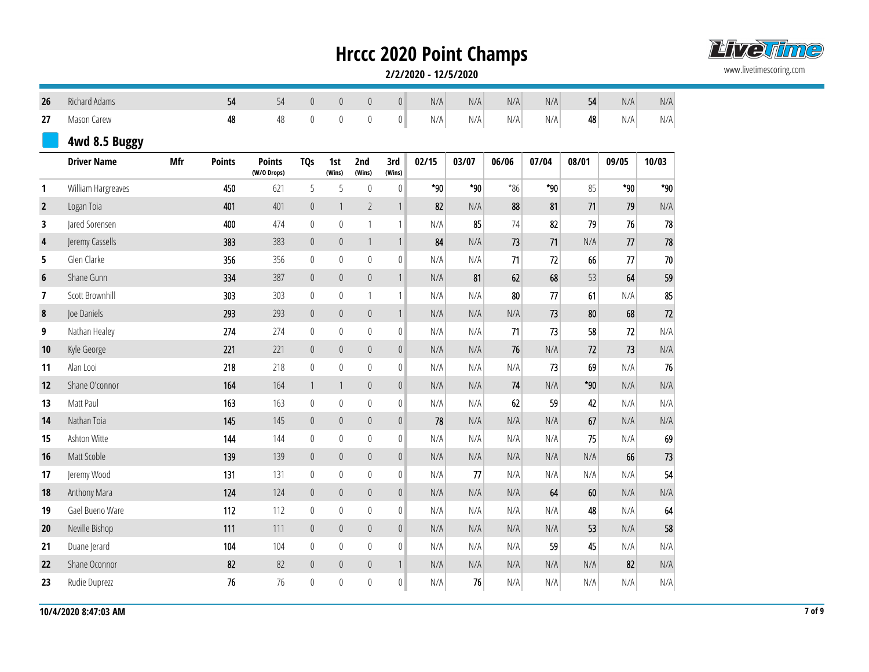

| 26               | Richard Adams      |            | 54            | 54                           | $\mathbb O$      | $\pmb{0}$        | $\mathbb O$      | $\vert 0 \vert$  | N/A   | N/A   | N/A   | N/A   | 54    | N/A   | N/A   |
|------------------|--------------------|------------|---------------|------------------------------|------------------|------------------|------------------|------------------|-------|-------|-------|-------|-------|-------|-------|
| 27               | Mason Carew        |            | 48            | 48                           | $\boldsymbol{0}$ | $\mathbb O$      | $\boldsymbol{0}$ | $\mathbf{0}$     | N/A   | N/A   | N/A   | N/A   | 48    | N/A   | N/A   |
|                  | 4wd 8.5 Buggy      |            |               |                              |                  |                  |                  |                  |       |       |       |       |       |       |       |
|                  | <b>Driver Name</b> | <b>Mfr</b> | <b>Points</b> | <b>Points</b><br>(W/O Drops) | <b>TQs</b>       | 1st<br>(Wins)    | 2nd<br>(Wins)    | 3rd<br>(Wins)    | 02/15 | 03/07 | 06/06 | 07/04 | 08/01 | 09/05 | 10/03 |
| $\mathbf{1}$     | William Hargreaves |            | 450           | 621                          | 5                | 5                | $\mathbb O$      | $\mathbb{0}$     | $*90$ | $*90$ | $*86$ | $*90$ | 85    | $*90$ | $*90$ |
| $\mathbf{2}$     | Logan Toia         |            | 401           | 401                          | $\mathbb O$      | 1                | $\overline{2}$   | $\mathbf{1}$     | 82    | N/A   | 88    | 81    | 71    | 79    | N/A   |
| 3                | Jared Sorensen     |            | 400           | 474                          | $\mathbf{0}$     | $\mathbf 0$      | $\mathbf{1}$     | $\mathbf{1}$     | N/A   | 85    | 74    | 82    | 79    | 76    | 78    |
| 4                | Jeremy Cassells    |            | 383           | 383                          | $\theta$         | $\theta$         | $\mathbf{1}$     | $\mathbf{1}$     | 84    | N/A   | 73    | 71    | N/A   | 77    | 78    |
| 5                | Glen Clarke        |            | 356           | 356                          | $\mathbf{0}$     | $\mathbf{0}$     | $\boldsymbol{0}$ | $\mathbf 0$      | N/A   | N/A   | 71    | 72    | 66    | 77    | 70    |
| $\boldsymbol{6}$ | Shane Gunn         |            | 334           | 387                          | $\mathbb O$      | $\pmb{0}$        | $\mathbb O$      | $\mathbf{1}$     | N/A   | 81    | 62    | 68    | 53    | 64    | 59    |
| $\overline{7}$   | Scott Brownhill    |            | 303           | 303                          | $\mathbf{0}$     | $\mathbf 0$      | $\mathbf{1}$     | 1                | N/A   | N/A   | 80    | 77    | 61    | N/A   | 85    |
| $\pmb{8}$        | Joe Daniels        |            | 293           | 293                          | $\mathbf 0$      | $\overline{0}$   | $\mathbb O$      | $\mathbf{1}$     | N/A   | N/A   | N/A   | 73    | 80    | 68    | 72    |
| 9                | Nathan Healey      |            | 274           | 274                          | $\mathbf{0}$     | $\mathbf 0$      | $\boldsymbol{0}$ | $\mathbf{0}$     | N/A   | N/A   | 71    | 73    | 58    | 72    | N/A   |
| 10               | Kyle George        |            | 221           | 221                          | $\theta$         | $\overline{0}$   | $\mathbb O$      | $\mathbb O$      | N/A   | N/A   | 76    | N/A   | 72    | 73    | N/A   |
| 11               | Alan Looi          |            | 218           | 218                          | $\theta$         | $\pmb{0}$        | $\mathbb{0}$     | $\overline{0}$   | N/A   | N/A   | N/A   | 73    | 69    | N/A   | 76    |
| 12               | Shane O'connor     |            | 164           | 164                          | $\mathbf{1}$     | $\mathbf{1}$     | $\mathbb O$      | $\mathbb O$      | N/A   | N/A   | 74    | N/A   | $*90$ | N/A   | N/A   |
| 13               | Matt Paul          |            | 163           | 163                          | $\pmb{0}$        | $\pmb{0}$        | $\boldsymbol{0}$ | $\mathbb O$      | N/A   | N/A   | 62    | 59    | 42    | N/A   | N/A   |
| 14               | Nathan Toia        |            | 145           | 145                          | $\mathbf 0$      | $\mathbf 0$      | $\mathbb O$      | $\mathbb O$      | 78    | N/A   | N/A   | N/A   | 67    | N/A   | N/A   |
| 15               | Ashton Witte       |            | 144           | 144                          | $\mathbf 0$      | $\mathbf{0}$     | $\boldsymbol{0}$ | $\boldsymbol{0}$ | N/A   | N/A   | N/A   | N/A   | 75    | N/A   | 69    |
| 16               | Matt Scoble        |            | 139           | 139                          | $\mathbf 0$      | $\boldsymbol{0}$ | $\mathbb O$      | $\mathbb O$      | N/A   | N/A   | N/A   | N/A   | N/A   | 66    | 73    |
| 17               | Jeremy Wood        |            | 131           | 131                          | $\mathbb O$      | $\mathbf 0$      | $\boldsymbol{0}$ | $\boldsymbol{0}$ | N/A   | 77    | N/A   | N/A   | N/A   | N/A   | 54    |
| 18               | Anthony Mara       |            | 124           | 124                          | $\mathbb O$      | $\pmb{0}$        | $\mathbb O$      | $\mathbb O$      | N/A   | N/A   | N/A   | 64    | 60    | N/A   | N/A   |
| 19               | Gael Bueno Ware    |            | 112           | 112                          | $\mathbf{0}$     | $\mathbf 0$      | $\boldsymbol{0}$ | $\boldsymbol{0}$ | N/A   | N/A   | N/A   | N/A   | 48    | N/A   | 64    |
| 20               | Neville Bishop     |            | 111           | 111                          | $\theta$         | $\mathbf{0}$     | $\pmb{0}$        | $\mathbb O$      | N/A   | N/A   | N/A   | N/A   | 53    | N/A   | 58    |
| 21               | Duane Jerard       |            | 104           | 104                          | $\theta$         | $\mathbf{0}$     | $\boldsymbol{0}$ | $\mathbf 0$      | N/A   | N/A   | N/A   | 59    | 45    | N/A   | N/A   |
| 22               | Shane Oconnor      |            | 82            | 82                           | $\theta$         | $\overline{0}$   | $\pmb{0}$        | $\mathbf{1}$     | N/A   | N/A   | N/A   | N/A   | N/A   | 82    | N/A   |
| 23               | Rudie Duprezz      |            | 76            | 76                           | $\mathbf{0}$     | $\mathbf{0}$     | $\boldsymbol{0}$ | $\mathbf 0$      | N/A   | 76    | N/A   | N/A   | N/A   | N/A   | N/A   |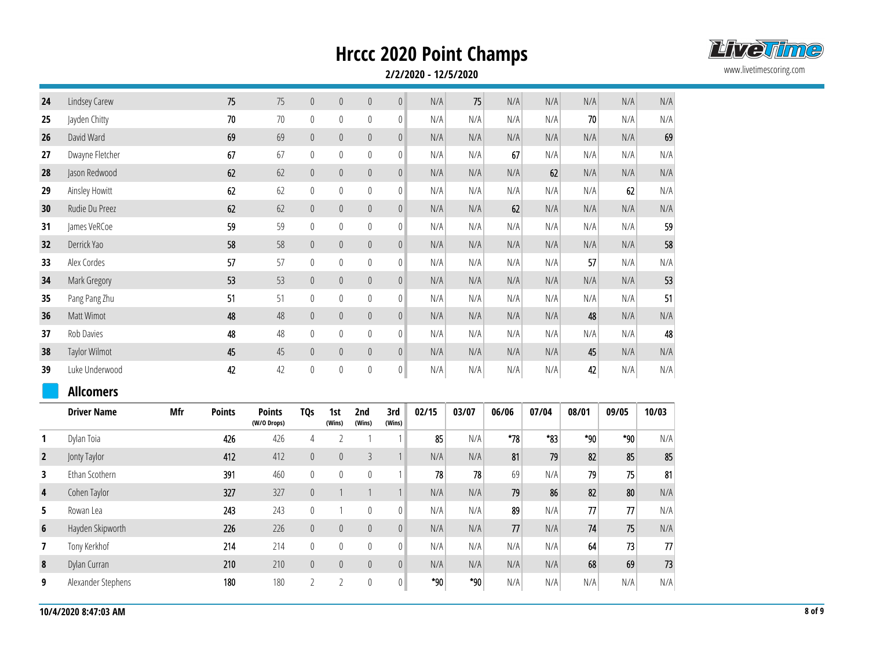

| 24             | Lindsey Carew      |     | 75            | 75                           | $\boldsymbol{0}$ | $\theta$       | $\mathbf 0$      | $\mathbf 0$      | N/A   | 75    | N/A   | N/A      | N/A   | N/A   | N/A                     |
|----------------|--------------------|-----|---------------|------------------------------|------------------|----------------|------------------|------------------|-------|-------|-------|----------|-------|-------|-------------------------|
| 25             | Jayden Chitty      |     | $70$          | 70                           | $\mathbb O$      | $\mathbb O$    | $\boldsymbol{0}$ | $\mathbb O$      | N/A   | N/A   | N/A   | N/A      | 70    | N/A   | N/A                     |
| 26             | David Ward         |     | 69            | 69                           | $\pmb{0}$        | $\mathbb O$    | $\mathbb O$      | $\pmb{0}$        | N/A   | N/A   | N/A   | N/A      | N/A   | N/A   | 69                      |
| 27             | Dwayne Fletcher    |     | 67            | 67                           | $\mathbb O$      | $\mathbf{0}$   | $\mathbf{0}$     | $\mathbf 0$      | N/A   | N/A   | 67    | N/A      | N/A   | N/A   | N/A                     |
| 28             | Jason Redwood      |     | 62            | 62                           | $\boldsymbol{0}$ | $\mathbb O$    | $\mathbb O$      | $\mathbb O$      | N/A   | N/A   | N/A   | 62       | N/A   | N/A   | N/A                     |
| 29             | Ainsley Howitt     |     | 62            | 62                           | $\mathbf 0$      | $\mathbf{0}$   | $\mathbf 0$      | $\mathbf 0$      | N/A   | N/A   | N/A   | N/A      | N/A   | 62    | N/A                     |
| 30             | Rudie Du Preez     |     | 62            | 62                           | $\boldsymbol{0}$ | $\theta$       | $\mathbb O$      | $\boldsymbol{0}$ | N/A   | N/A   | 62    | N/A      | N/A   | N/A   | N/A                     |
| 31             | James VeRCoe       |     | 59            | 59                           | $\boldsymbol{0}$ | $\mathbb O$    | $\boldsymbol{0}$ | $\mathbb O$      | N/A   | N/A   | N/A   | N/A      | N/A   | N/A   | 59                      |
| 32             | Derrick Yao        |     | 58            | 58                           | $\boldsymbol{0}$ | $\theta$       | $\mathbb O$      | $\boldsymbol{0}$ | N/A   | N/A   | N/A   | N/A      | N/A   | N/A   | 58                      |
| 33             | Alex Cordes        |     | 57            | 57                           | $\mathbb O$      | $\mathbf{0}$   | $\boldsymbol{0}$ | $\mathbf 0$      | N/A   | N/A   | N/A   | N/A      | 57    | N/A   | N/A                     |
| 34             | Mark Gregory       |     | 53            | 53                           | $\boldsymbol{0}$ | $\mathbb O$    | $\mathbb{0}$     | $\mathbb O$      | N/A   | N/A   | N/A   | N/A      | N/A   | N/A   | 53                      |
| 35             | Pang Pang Zhu      |     | 51            | 51                           | $\boldsymbol{0}$ | 0              | $\mathbb O$      | $\mathbf 0$      | N/A   | N/A   | N/A   | N/A      | N/A   | N/A   | 51                      |
| 36             | Matt Wimot         |     | 48            | 48                           | $\mathbf 0$      | $\mathbf 0$    | $\mathbf 0$      | $\boldsymbol{0}$ | N/A   | N/A   | N/A   | N/A      | 48    | N/A   | N/A                     |
| 37             | Rob Davies         |     | 48            | 48                           | $\mathbb O$      | $\mathbb O$    | $\boldsymbol{0}$ | $\boldsymbol{0}$ | N/A   | N/A   | N/A   | N/A      | N/A   | N/A   | 48                      |
| 38             | Taylor Wilmot      |     | 45            | 45                           | $\boldsymbol{0}$ | $\mathbf 0$    | $\mathbb O$      | $\mathbf 0$      | N/A   | N/A   | N/A   | N/A      | 45    | N/A   | N/A                     |
| 39             | Luke Underwood     |     | 42            | 42                           | $\mathbf 0$      | $\mathbf 0$    | $\mathbf 0$      | 0                | N/A   | N/A   | N/A   | N/A      | 42    | N/A   | $\mathsf{N}/\mathsf{A}$ |
|                |                    |     |               |                              |                  |                |                  |                  |       |       |       |          |       |       |                         |
|                | <b>Allcomers</b>   |     |               |                              |                  |                |                  |                  |       |       |       |          |       |       |                         |
|                | <b>Driver Name</b> | Mfr | <b>Points</b> | <b>Points</b><br>(W/O Drops) | <b>TQs</b>       | 1st<br>(Wins)  | 2nd<br>(Wins)    | 3rd<br>(Wins)    | 02/15 | 03/07 | 06/06 | 07/04    | 08/01 | 09/05 | 10/03                   |
| 1              | Dylan Toia         |     | 426           | 426                          | $\sqrt{4}$       | $\overline{2}$ | $\mathbf{1}$     | $\mathbf{1}$     | 85    | N/A   | $*78$ | $*_{83}$ | $*90$ | $*90$ | N/A                     |
| $\overline{2}$ | Jonty Taylor       |     | 412           | 412                          | $\pmb{0}$        | $\theta$       | $\mathfrak{Z}$   | $\mathbf{1}$     | N/A   | N/A   | 81    | 79       | 82    | 85    | 85                      |
| 3              | Ethan Scothern     |     | 391           | 460                          | $\mathbf 0$      | $\mathbf{0}$   | $\mathbf{0}$     | 1                | 78    | 78    | 69    | N/A      | 79    | 75    | 81                      |
| 4              | Cohen Taylor       |     | 327           | 327                          | $\boldsymbol{0}$ | $\mathbf{1}$   | $\mathbf{1}$     | $\mathbf{1}$     | N/A   | N/A   | 79    | 86       | 82    | 80    | N/A                     |
| 5              | Rowan Lea          |     | 243           | 243                          | $\boldsymbol{0}$ | $\mathbf{1}$   | $\boldsymbol{0}$ | $\mathbf 0$      | N/A   | N/A   | 89    | N/A      | 77    | 77    | N/A                     |
| 6              | Hayden Skipworth   |     | 226           | 226                          | $\boldsymbol{0}$ | $\theta$       | $\pmb{0}$        | $\boldsymbol{0}$ | N/A   | N/A   | 77    | N/A      | 74    | 75    | N/A                     |
| 7              | Tony Kerkhof       |     | 214           | 214                          | $\boldsymbol{0}$ | $\mathbb O$    | $\boldsymbol{0}$ | $\boldsymbol{0}$ | N/A   | N/A   | N/A   | N/A      | 64    | 73    | $77$                    |
| 8              | Dylan Curran       |     | 210           | 210                          | $\boldsymbol{0}$ | $\theta$       | $\pmb{0}$        | $\pmb{0}$        | N/A   | N/A   | N/A   | N/A      | 68    | 69    | 73                      |